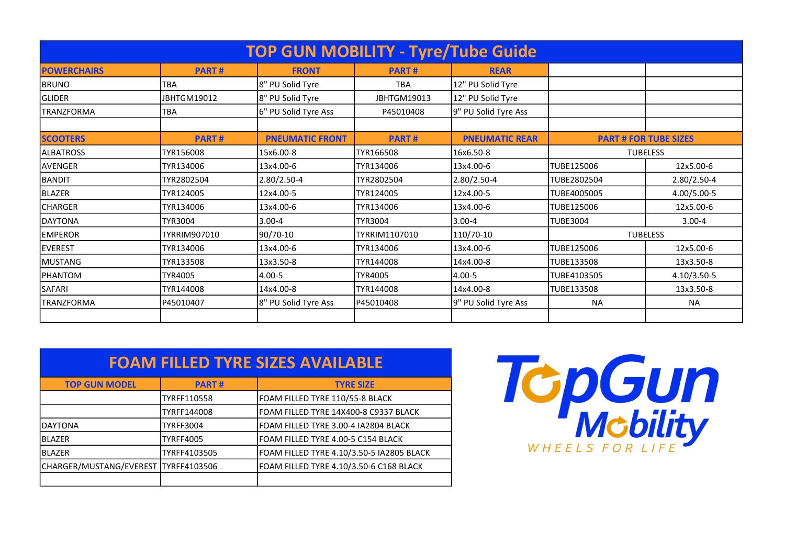| <b>TOP GUN MOBILITY - Tyre/Tube Guide</b> |                |                        |                |                       |                              |             |  |  |  |  |
|-------------------------------------------|----------------|------------------------|----------------|-----------------------|------------------------------|-------------|--|--|--|--|
| <b>POWERCHAIRS</b>                        | <b>PART#</b>   | <b>FRONT</b>           | <b>PART#</b>   | <b>REAR</b>           |                              |             |  |  |  |  |
| <b>BRUNO</b>                              | <b>TBA</b>     | 8" PU Solid Tyre       | <b>TBA</b>     | 12" PU Solid Tyre     |                              |             |  |  |  |  |
| <b>GLIDER</b>                             | JBHTGM19012    | 8" PU Solid Tyre       | JBHTGM19013    | 12" PU Solid Tyre     |                              |             |  |  |  |  |
| <b>TRANZFORMA</b>                         | <b>TBA</b>     | 6" PU Solid Tyre Ass   | P45010408      | 9" PU Solid Tyre Ass  |                              |             |  |  |  |  |
|                                           |                |                        |                |                       |                              |             |  |  |  |  |
| <b>SCOOTERS</b>                           | <b>PART#</b>   | <b>PNEUMATIC FRONT</b> | <b>PART#</b>   | <b>PNEUMATIC REAR</b> | <b>PART # FOR TUBE SIZES</b> |             |  |  |  |  |
| <b>ALBATROSS</b>                          | TYR156008      | 15x6.00-8              | TYR166508      | 16x6.50-8             | <b>TUBELESS</b>              |             |  |  |  |  |
| <b>AVENGER</b>                            | TYR134006      | 13x4.00-6              | TYR134006      | 13x4.00-6             | ITUBE125006                  | 12x5.00-6   |  |  |  |  |
| <b>BANDIT</b>                             | TYR2802504     | 2.80/2.50-4            | TYR2802504     | 2.80/2.50-4           | ITUBE2802504                 | 2.80/2.50-4 |  |  |  |  |
| <b>BLAZER</b>                             | TYR124005      | 12x4.00-5              | TYR124005      | 12x4.00-5             | TUBE4005005                  | 4.00/5.00-5 |  |  |  |  |
| <b>CHARGER</b>                            | TYR134006      | 13x4.00-6              | TYR134006      | 13x4.00-6             | ITUBE125006                  | 12x5.00-6   |  |  |  |  |
| <b>DAYTONA</b>                            | <b>TYR3004</b> | $3.00 - 4$             | <b>TYR3004</b> | $3.00 - 4$            | <b>TUBE3004</b>              | $3.00 - 4$  |  |  |  |  |
| <b>EMPEROR</b>                            | TYRRIM907010   | 90/70-10               | TYRRIM1107010  | 110/70-10             | <b>TUBELESS</b>              |             |  |  |  |  |
| <b>EVEREST</b>                            | TYR134006      | 13x4.00-6              | TYR134006      | 13x4.00-6             | TUBE125006                   | 12x5.00-6   |  |  |  |  |
| <b>MUSTANG</b>                            | TYR133508      | 13x3.50-8              | TYR144008      | 14x4.00-8             | TUBE133508                   | 13x3.50-8   |  |  |  |  |
| <b>PHANTOM</b>                            | <b>TYR4005</b> | 4.00-5                 | TYR4005        | $4.00 - 5$            | ITUBE4103505                 | 4.10/3.50-5 |  |  |  |  |
| SAFARI                                    | TYR144008      | 14x4.00-8              | TYR144008      | 14x4.00-8             | TUBE133508                   | 13x3.50-8   |  |  |  |  |
| <b>TRANZFORMA</b>                         | P45010407      | 8" PU Solid Tyre Ass   | P45010408      | 9" PU Solid Tyre Ass  | <b>NA</b>                    | <b>NA</b>   |  |  |  |  |
|                                           |                |                        |                |                       |                              |             |  |  |  |  |

| <b>FOAM FILLED TYRE SIZES AVAILABLE</b> |                  |                                           |  |  |  |  |
|-----------------------------------------|------------------|-------------------------------------------|--|--|--|--|
| <b>TOP GUN MODEL</b>                    | <b>PART#</b>     | <b>TYRE SIZE</b>                          |  |  |  |  |
|                                         | TYRFF110558      | FOAM FILLED TYRE 110/55-8 BLACK           |  |  |  |  |
|                                         | TYRFF144008      | FOAM FILLED TYRE 14X400-8 C9337 BLACK     |  |  |  |  |
| <b>DAYTONA</b>                          | <b>TYRFF3004</b> | FOAM FILLED TYRE 3.00-4 IA2804 BLACK      |  |  |  |  |
| <b>BLAZER</b>                           | <b>TYRFF4005</b> | FOAM FILLED TYRE 4.00-5 C154 BLACK        |  |  |  |  |
| <b>BLAZER</b>                           | TYRFF4103505     | FOAM FILLED TYRE 4.10/3.50-5 IA2805 BLACK |  |  |  |  |
| CHARGER/MUSTANG/EVEREST TYRFF4103506    |                  | FOAM FILLED TYRE 4.10/3.50-6 C168 BLACK   |  |  |  |  |
|                                         |                  |                                           |  |  |  |  |